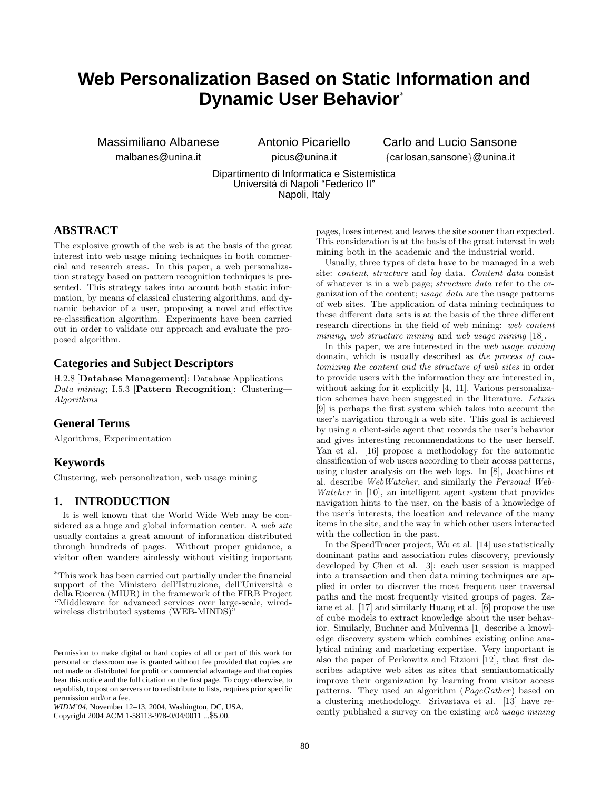# **Web Personalization Based on Static Information and Dynamic User Behavior**<sup>∗</sup>

Massimiliano Albanese

malbanes@unina.it

Antonio Picariello

Carlo and Lucio Sansone {carlosan,sansone}@unina.it

picus@unina.it Dipartimento di Informatica e Sistemistica Universita di Napoli "Federico II" `

Napoli, Italy

## **ABSTRACT**

The explosive growth of the web is at the basis of the great interest into web usage mining techniques in both commercial and research areas. In this paper, a web personalization strategy based on pattern recognition techniques is presented. This strategy takes into account both static information, by means of classical clustering algorithms, and dynamic behavior of a user, proposing a novel and effective re-classification algorithm. Experiments have been carried out in order to validate our approach and evaluate the proposed algorithm.

## **Categories and Subject Descriptors**

H.2.8 [**Database Management**]: Database Applications— *Data mining*; I.5.3 [**Pattern Recognition**]: Clustering— *Algorithms*

## **General Terms**

Algorithms, Experimentation

## **Keywords**

Clustering, web personalization, web usage mining

## **1. INTRODUCTION**

It is well known that the World Wide Web may be considered as a huge and global information center. A *web site* usually contains a great amount of information distributed through hundreds of pages. Without proper guidance, a visitor often wanders aimlessly without visiting important

pages, loses interest and leaves the site sooner than expected. This consideration is at the basis of the great interest in web mining both in the academic and the industrial world.

Usually, three types of data have to be managed in a web site: *content*, *structure* and *log* data. *Content data* consist of whatever is in a web page; *structure data* refer to the organization of the content; *usage data* are the usage patterns of web sites. The application of data mining techniques to these different data sets is at the basis of the three different research directions in the field of web mining: *web content mining*, *web structure mining* and *web usage mining* [18].

In this paper, we are interested in the *web usage mining* domain, which is usually described as *the process of customizing the content and the structure of web sites* in order to provide users with the information they are interested in, without asking for it explicitly [4, 11]. Various personalization schemes have been suggested in the literature. *Letizia* [9] is perhaps the first system which takes into account the user's navigation through a web site. This goal is achieved by using a client-side agent that records the user's behavior and gives interesting recommendations to the user herself. Yan et al. [16] propose a methodology for the automatic classification of web users according to their access patterns, using cluster analysis on the web logs. In [8], Joachims et al. describe *WebWatcher*, and similarly the *Personal Web-Watcher* in [10], an intelligent agent system that provides navigation hints to the user, on the basis of a knowledge of the user's interests, the location and relevance of the many items in the site, and the way in which other users interacted with the collection in the past.

In the SpeedTracer project, Wu et al. [14] use statistically dominant paths and association rules discovery, previously developed by Chen et al. [3]: each user session is mapped into a transaction and then data mining techniques are applied in order to discover the most frequent user traversal paths and the most frequently visited groups of pages. Zaiane et al. [17] and similarly Huang et al. [6] propose the use of cube models to extract knowledge about the user behavior. Similarly, Buchner and Mulvenna [1] describe a knowledge discovery system which combines existing online analytical mining and marketing expertise. Very important is also the paper of Perkowitz and Etzioni [12], that first describes adaptive web sites as sites that semiautomatically improve their organization by learning from visitor access patterns. They used an algorithm (*PageGather*) based on a clustering methodology. Srivastava et al. [13] have recently published a survey on the existing *web usage mining*

<sup>∗</sup>This work has been carried out partially under the financial support of the Ministero dell'Istruzione, dell'Università e della Ricerca (MIUR) in the framework of the FIRB Project "Middleware for advanced services over large-scale, wiredwireless distributed systems (WEB-MINDS)"

Permission to make digital or hard copies of all or part of this work for personal or classroom use is granted without fee provided that copies are not made or distributed for profit or commercial advantage and that copies bear this notice and the full citation on the first page. To copy otherwise, to republish, to post on servers or to redistribute to lists, requires prior specific permission and/or a fee.

*WIDM'04,* November 12–13, 2004, Washington, DC, USA.

Copyright 2004 ACM 1-58113-978-0/04/0011 ...\$5.00.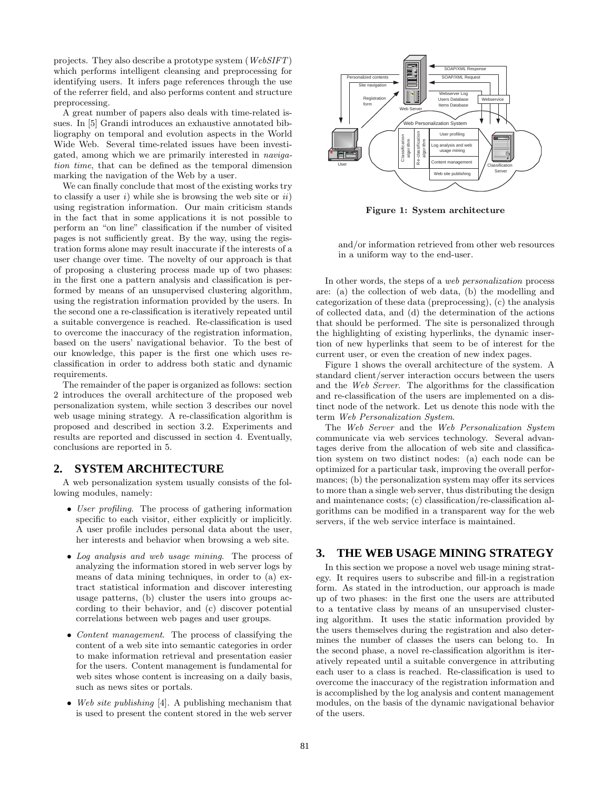projects. They also describe a prototype system (*WebSIFT*) which performs intelligent cleansing and preprocessing for identifying users. It infers page references through the use of the referrer field, and also performs content and structure preprocessing.

A great number of papers also deals with time-related issues. In [5] Grandi introduces an exhaustive annotated bibliography on temporal and evolution aspects in the World Wide Web. Several time-related issues have been investigated, among which we are primarily interested in *navigation time*, that can be defined as the temporal dimension marking the navigation of the Web by a user.

We can finally conclude that most of the existing works try to classify a user *i*) while she is browsing the web site or *ii*) using registration information. Our main criticism stands in the fact that in some applications it is not possible to perform an "on line" classification if the number of visited pages is not sufficiently great. By the way, using the registration forms alone may result inaccurate if the interests of a user change over time. The novelty of our approach is that of proposing a clustering process made up of two phases: in the first one a pattern analysis and classification is performed by means of an unsupervised clustering algorithm, using the registration information provided by the users. In the second one a re-classification is iteratively repeated until a suitable convergence is reached. Re-classification is used to overcome the inaccuracy of the registration information, based on the users' navigational behavior. To the best of our knowledge, this paper is the first one which uses reclassification in order to address both static and dynamic requirements.

The remainder of the paper is organized as follows: section 2 introduces the overall architecture of the proposed web personalization system, while section 3 describes our novel web usage mining strategy. A re-classification algorithm is proposed and described in section 3.2. Experiments and results are reported and discussed in section 4. Eventually, conclusions are reported in 5.

#### **2. SYSTEM ARCHITECTURE**

A web personalization system usually consists of the following modules, namely:

- *User profiling*. The process of gathering information specific to each visitor, either explicitly or implicitly. A user profile includes personal data about the user, her interests and behavior when browsing a web site.
- *Log analysis and web usage mining*. The process of analyzing the information stored in web server logs by means of data mining techniques, in order to (a) extract statistical information and discover interesting usage patterns, (b) cluster the users into groups according to their behavior, and (c) discover potential correlations between web pages and user groups.
- *Content management*. The process of classifying the content of a web site into semantic categories in order to make information retrieval and presentation easier for the users. Content management is fundamental for web sites whose content is increasing on a daily basis, such as news sites or portals.
- *Web site publishing* [4]. A publishing mechanism that is used to present the content stored in the web server



**Figure 1: System architecture**

and/or information retrieved from other web resources in a uniform way to the end-user.

In other words, the steps of a *web personalization* process are: (a) the collection of web data, (b) the modelling and categorization of these data (preprocessing), (c) the analysis of collected data, and (d) the determination of the actions that should be performed. The site is personalized through the highlighting of existing hyperlinks, the dynamic insertion of new hyperlinks that seem to be of interest for the current user, or even the creation of new index pages.

Figure 1 shows the overall architecture of the system. A standard client/server interaction occurs between the users and the *Web Server*. The algorithms for the classification and re-classification of the users are implemented on a distinct node of the network. Let us denote this node with the term *Web Personalization System*.

The *Web Server* and the *Web Personalization System* communicate via web services technology. Several advantages derive from the allocation of web site and classification system on two distinct nodes: (a) each node can be optimized for a particular task, improving the overall performances; (b) the personalization system may offer its services to more than a single web server, thus distributing the design and maintenance costs; (c) classification/re-classification algorithms can be modified in a transparent way for the web servers, if the web service interface is maintained.

#### **3. THE WEB USAGE MINING STRATEGY**

In this section we propose a novel web usage mining strategy. It requires users to subscribe and fill-in a registration form. As stated in the introduction, our approach is made up of two phases: in the first one the users are attributed to a tentative class by means of an unsupervised clustering algorithm. It uses the static information provided by the users themselves during the registration and also determines the number of classes the users can belong to. In the second phase, a novel re-classification algorithm is iteratively repeated until a suitable convergence in attributing each user to a class is reached. Re-classification is used to overcome the inaccuracy of the registration information and is accomplished by the log analysis and content management modules, on the basis of the dynamic navigational behavior of the users.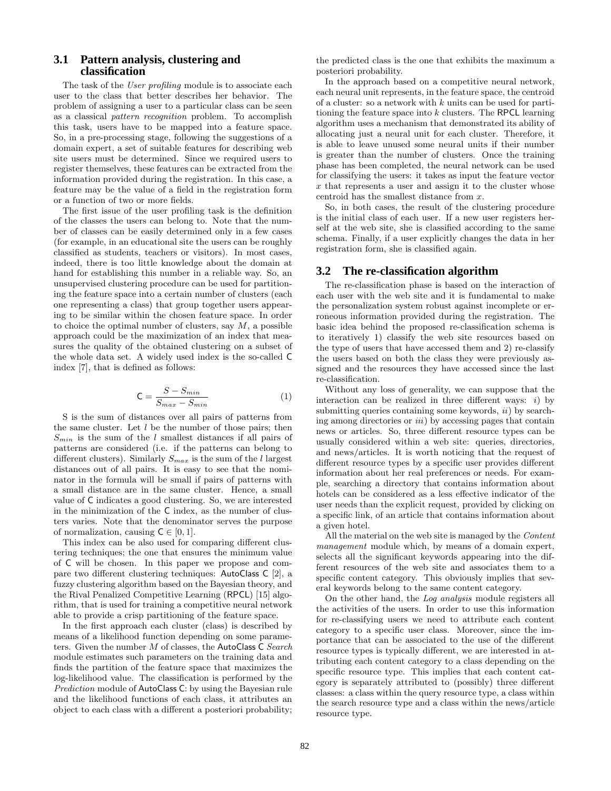#### **3.1 Pattern analysis, clustering and classification**

The task of the *User profiling* module is to associate each user to the class that better describes her behavior. The problem of assigning a user to a particular class can be seen as a classical *pattern recognition* problem. To accomplish this task, users have to be mapped into a feature space. So, in a pre-processing stage, following the suggestions of a domain expert, a set of suitable features for describing web site users must be determined. Since we required users to register themselves, these features can be extracted from the information provided during the registration. In this case, a feature may be the value of a field in the registration form or a function of two or more fields.

The first issue of the user profiling task is the definition of the classes the users can belong to. Note that the number of classes can be easily determined only in a few cases (for example, in an educational site the users can be roughly classified as students, teachers or visitors). In most cases, indeed, there is too little knowledge about the domain at hand for establishing this number in a reliable way. So, an unsupervised clustering procedure can be used for partitioning the feature space into a certain number of clusters (each one representing a class) that group together users appearing to be similar within the chosen feature space. In order to choice the optimal number of clusters, say *M*, a possible approach could be the maximization of an index that measures the quality of the obtained clustering on a subset of the whole data set. A widely used index is the so-called C index [7], that is defined as follows:

$$
\mathsf{C} = \frac{S - S_{min}}{S_{max} - S_{min}}\tag{1}
$$

S is the sum of distances over all pairs of patterns from the same cluster. Let *l* be the number of those pairs; then *Smin* is the sum of the *l* smallest distances if all pairs of patterns are considered (i.e. if the patterns can belong to different clusters). Similarly *Smax* is the sum of the *l* largest distances out of all pairs. It is easy to see that the nominator in the formula will be small if pairs of patterns with a small distance are in the same cluster. Hence, a small value of C indicates a good clustering. So, we are interested in the minimization of the C index, as the number of clusters varies. Note that the denominator serves the purpose of normalization, causing  $C \in [0, 1]$ .

This index can be also used for comparing different clustering techniques; the one that ensures the minimum value of C will be chosen. In this paper we propose and compare two different clustering techniques: AutoClass C [2], a fuzzy clustering algorithm based on the Bayesian theory, and the Rival Penalized Competitive Learning (RPCL) [15] algorithm, that is used for training a competitive neural network able to provide a crisp partitioning of the feature space.

In the first approach each cluster (class) is described by means of a likelihood function depending on some parameters. Given the number *M* of classes, the AutoClass C *Search* module estimates such parameters on the training data and finds the partition of the feature space that maximizes the log-likelihood value. The classification is performed by the *Prediction* module of AutoClass C: by using the Bayesian rule and the likelihood functions of each class, it attributes an object to each class with a different a posteriori probability; the predicted class is the one that exhibits the maximum a posteriori probability.

In the approach based on a competitive neural network, each neural unit represents, in the feature space, the centroid of a cluster: so a network with *k* units can be used for partitioning the feature space into *k* clusters. The RPCL learning algorithm uses a mechanism that demonstrated its ability of allocating just a neural unit for each cluster. Therefore, it is able to leave unused some neural units if their number is greater than the number of clusters. Once the training phase has been completed, the neural network can be used for classifying the users: it takes as input the feature vector *x* that represents a user and assign it to the cluster whose centroid has the smallest distance from *x*.

So, in both cases, the result of the clustering procedure is the initial class of each user. If a new user registers herself at the web site, she is classified according to the same schema. Finally, if a user explicitly changes the data in her registration form, she is classified again.

#### **3.2 The re-classification algorithm**

The re-classification phase is based on the interaction of each user with the web site and it is fundamental to make the personalization system robust against incomplete or erroneous information provided during the registration. The basic idea behind the proposed re-classification schema is to iteratively 1) classify the web site resources based on the type of users that have accessed them and 2) re-classify the users based on both the class they were previously assigned and the resources they have accessed since the last re-classification.

Without any loss of generality, we can suppose that the interaction can be realized in three different ways:  $i)$  by submitting queries containing some keywords, *ii*) by searching among directories or *iii*) by accessing pages that contain news or articles. So, three different resource types can be usually considered within a web site: queries, directories, and news/articles. It is worth noticing that the request of different resource types by a specific user provides different information about her real preferences or needs. For example, searching a directory that contains information about hotels can be considered as a less effective indicator of the user needs than the explicit request, provided by clicking on a specific link, of an article that contains information about a given hotel.

All the material on the web site is managed by the *Content management* module which, by means of a domain expert, selects all the significant keywords appearing into the different resources of the web site and associates them to a specific content category. This obviously implies that several keywords belong to the same content category.

On the other hand, the *Log analysis* module registers all the activities of the users. In order to use this information for re-classifying users we need to attribute each content category to a specific user class. Moreover, since the importance that can be associated to the use of the different resource types is typically different, we are interested in attributing each content category to a class depending on the specific resource type. This implies that each content category is separately attributed to (possibly) three different classes: a class within the query resource type, a class within the search resource type and a class within the news/article resource type.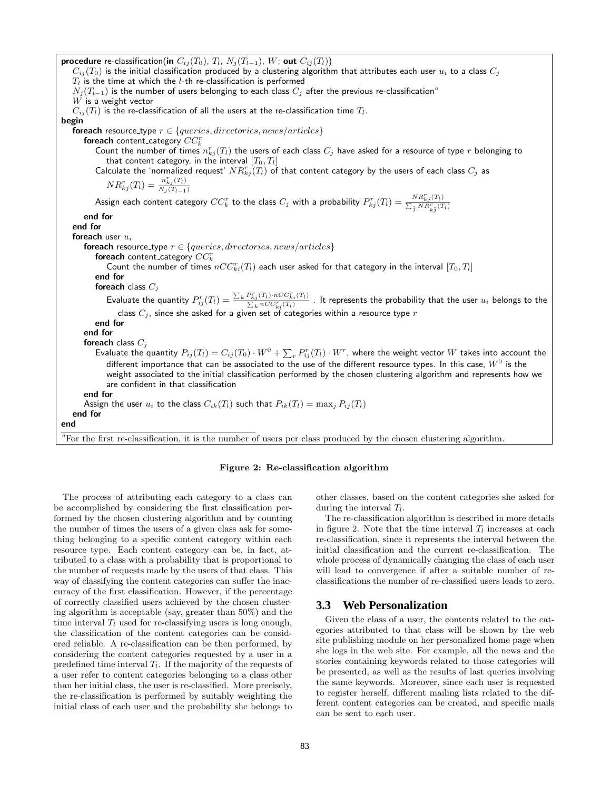**procedure** re-classification(in  $C_{ij}(T_0)$ ,  $T_l$ ,  $N_j(T_{l-1})$ ,  $W$ ; out  $C_{ij}(T_l)$ )  $C_{ij}(T_0)$  is the initial classification produced by a clustering algorithm that attributes each user  $u_i$  to a class  $C_j$ *T<sup>l</sup>* is the time at which the *l*-th re-classification is performed  $N_j(T_{l-1})$  is the number of users belonging to each class  $C_j$  after the previous re-classification<sup>a</sup> *W* is a weight vector  $C_{ij}(T_i)$  is the re-classification of all the users at the re-classification time  $T_i$ . **begin foreach** resource type  $r \in \{queries, directories, news/articles\}$ foreach content\_category  $CC_k^r$ Count the number of times  $n^{r}_{kj}(T_l)$  the users of each class  $C_j$  have asked for a resource of type  $r$  belonging to that content category, in the interval  $[T_0, T_l]$ Calculate the 'normalized request'  $NR^r_{kj}(T_l)$  of that content category by the users of each class  $C_j$  as  $NR_{kj}^r(T_l) = \frac{n_{kj}^r(T_l)}{N_i(T_{l-1})}$ *<sup>N</sup><sup>j</sup>* (*Tl−*1) Assign each content category  $CC_k^r$  to the class  $C_j$  with a probability  $P_{kj}^r(T_l)=\frac{NR_{kj}^r(T_l)}{\sum_j NR_{kj}^r(T_l)}$ **end for end for foreach** user *u<sup>i</sup>* **foreach** resource type  $r \in \{queries, directories, news/articles\}$  $\mathbf{for each content\_category}$   $CC^r_k$ Count the number of times  $nCC^r_{ki}(T_l)$  each user asked for that category in the interval  $[T_0,T_l]$ **end for foreach** class *C<sup>j</sup>* Evaluate the quantity  $P_{ij}^r(T_l)=\frac{\sum_k P_{kj}^r(T_l)\cdot nCC_{ki}^r(T_l)}{\sum_k nCC_{ki}^r(T_l)}$  . It represents the probability that the user  $u_i$  belongs to the class *C<sup>j</sup>* , since she asked for a given set of categories within a resource type *r* **end for end for foreach** class *C<sup>j</sup>* Evaluate the quantity  $P_{ij}(T_l)=C_{ij}(T_0)\cdot W^0+\sum_rP^r_{ij}(T_l)\cdot W^r$ , where the weight vector  $W$  takes into account the different importance that can be associated to the use of the different resource types. In this case, *W*<sup>0</sup> is the weight associated to the initial classification performed by the chosen clustering algorithm and represents how we are confident in that classification **end for** Assign the user  $u_i$  to the class  $C_{ik}(T_i)$  such that  $P_{ik}(T_i) = \max_j P_{ij}(T_i)$ **end for end** *<sup>a</sup>*For the first re-classification, it is the number of users per class produced by the chosen clustering algorithm.

#### **Figure 2: Re-classification algorithm**

The process of attributing each category to a class can be accomplished by considering the first classification performed by the chosen clustering algorithm and by counting the number of times the users of a given class ask for something belonging to a specific content category within each resource type. Each content category can be, in fact, attributed to a class with a probability that is proportional to the number of requests made by the users of that class. This way of classifying the content categories can suffer the inaccuracy of the first classification. However, if the percentage of correctly classified users achieved by the chosen clustering algorithm is acceptable (say, greater than 50%) and the time interval  $T_l$  used for re-classifying users is long enough, the classification of the content categories can be considered reliable. A re-classification can be then performed, by considering the content categories requested by a user in a predefined time interval  $T_l$ . If the majority of the requests of a user refer to content categories belonging to a class other than her initial class, the user is re-classified. More precisely, the re-classification is performed by suitably weighting the initial class of each user and the probability she belongs to

other classes, based on the content categories she asked for during the interval *Tl*.

The re-classification algorithm is described in more details in figure 2. Note that the time interval  $T_l$  increases at each re-classification, since it represents the interval between the initial classification and the current re-classification. The whole process of dynamically changing the class of each user will lead to convergence if after a suitable number of reclassifications the number of re-classified users leads to zero.

#### **3.3 Web Personalization**

Given the class of a user, the contents related to the categories attributed to that class will be shown by the web site publishing module on her personalized home page when she logs in the web site. For example, all the news and the stories containing keywords related to those categories will be presented, as well as the results of last queries involving the same keywords. Moreover, since each user is requested to register herself, different mailing lists related to the different content categories can be created, and specific mails can be sent to each user.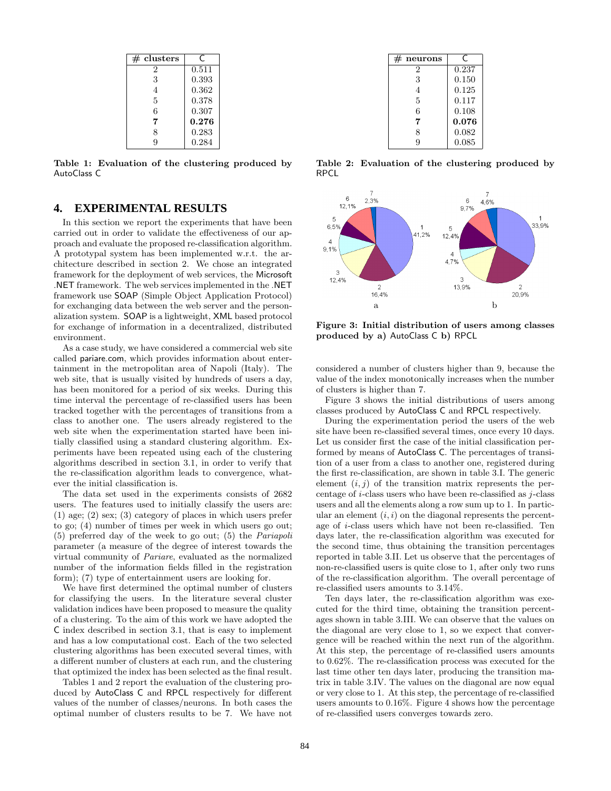| clusters |       |  |  |  |  |  |  |
|----------|-------|--|--|--|--|--|--|
| 2        | 0.511 |  |  |  |  |  |  |
| 3        | 0.393 |  |  |  |  |  |  |
| 4        | 0.362 |  |  |  |  |  |  |
| 5        | 0.378 |  |  |  |  |  |  |
| 6        | 0.307 |  |  |  |  |  |  |
| 7        | 0.276 |  |  |  |  |  |  |
| 8        | 0.283 |  |  |  |  |  |  |
| g        | 0.284 |  |  |  |  |  |  |
|          |       |  |  |  |  |  |  |

**Table 1: Evaluation of the clustering produced by** AutoClass C

#### **4. EXPERIMENTAL RESULTS**

In this section we report the experiments that have been carried out in order to validate the effectiveness of our approach and evaluate the proposed re-classification algorithm. A prototypal system has been implemented w.r.t. the architecture described in section 2. We chose an integrated framework for the deployment of web services, the Microsoft .NET framework. The web services implemented in the .NET framework use SOAP (Simple Object Application Protocol) for exchanging data between the web server and the personalization system. SOAP is a lightweight, XML based protocol for exchange of information in a decentralized, distributed environment.

As a case study, we have considered a commercial web site called pariare.com, which provides information about entertainment in the metropolitan area of Napoli (Italy). The web site, that is usually visited by hundreds of users a day, has been monitored for a period of six weeks. During this time interval the percentage of re-classified users has been tracked together with the percentages of transitions from a class to another one. The users already registered to the web site when the experimentation started have been initially classified using a standard clustering algorithm. Experiments have been repeated using each of the clustering algorithms described in section 3.1, in order to verify that the re-classification algorithm leads to convergence, whatever the initial classification is.

The data set used in the experiments consists of 2682 users. The features used to initially classify the users are: (1) age; (2) sex; (3) category of places in which users prefer to go; (4) number of times per week in which users go out; (5) preferred day of the week to go out; (5) the *Pariapoli* parameter (a measure of the degree of interest towards the virtual community of *Pariare*, evaluated as the normalized number of the information fields filled in the registration form); (7) type of entertainment users are looking for.

We have first determined the optimal number of clusters for classifying the users. In the literature several cluster validation indices have been proposed to measure the quality of a clustering. To the aim of this work we have adopted the C index described in section 3.1, that is easy to implement and has a low computational cost. Each of the two selected clustering algorithms has been executed several times, with a different number of clusters at each run, and the clustering that optimized the index has been selected as the final result.

Tables 1 and 2 report the evaluation of the clustering produced by AutoClass C and RPCL respectively for different values of the number of classes/neurons. In both cases the optimal number of clusters results to be 7. We have not

| 0.237 |
|-------|
| 0.150 |
| 0.125 |
| 0.117 |
| 0.108 |
| 0.076 |
| 0.082 |
| 0.085 |
|       |

**Table 2: Evaluation of the clustering produced by** RPCL



**Figure 3: Initial distribution of users among classes produced by a)** AutoClass C **b)** RPCL

considered a number of clusters higher than 9, because the value of the index monotonically increases when the number of clusters is higher than 7.

Figure 3 shows the initial distributions of users among classes produced by AutoClass C and RPCL respectively.

During the experimentation period the users of the web site have been re-classified several times, once every 10 days. Let us consider first the case of the initial classification performed by means of AutoClass C. The percentages of transition of a user from a class to another one, registered during the first re-classification, are shown in table 3.I. The generic element  $(i, j)$  of the transition matrix represents the percentage of *i*-class users who have been re-classified as *j*-class users and all the elements along a row sum up to 1. In particular an element  $(i, i)$  on the diagonal represents the percentage of *i*-class users which have not been re-classified. Ten days later, the re-classification algorithm was executed for the second time, thus obtaining the transition percentages reported in table 3.II. Let us observe that the percentages of non-re-classified users is quite close to 1, after only two runs of the re-classification algorithm. The overall percentage of re-classified users amounts to 3*.*14%.

Ten days later, the re-classification algorithm was executed for the third time, obtaining the transition percentages shown in table 3.III. We can observe that the values on the diagonal are very close to 1, so we expect that convergence will be reached within the next run of the algorithm. At this step, the percentage of re-classified users amounts to 0*.*62%. The re-classification process was executed for the last time other ten days later, producing the transition matrix in table 3.IV. The values on the diagonal are now equal or very close to 1. At this step, the percentage of re-classified users amounts to 0*.*16%. Figure 4 shows how the percentage of re-classified users converges towards zero.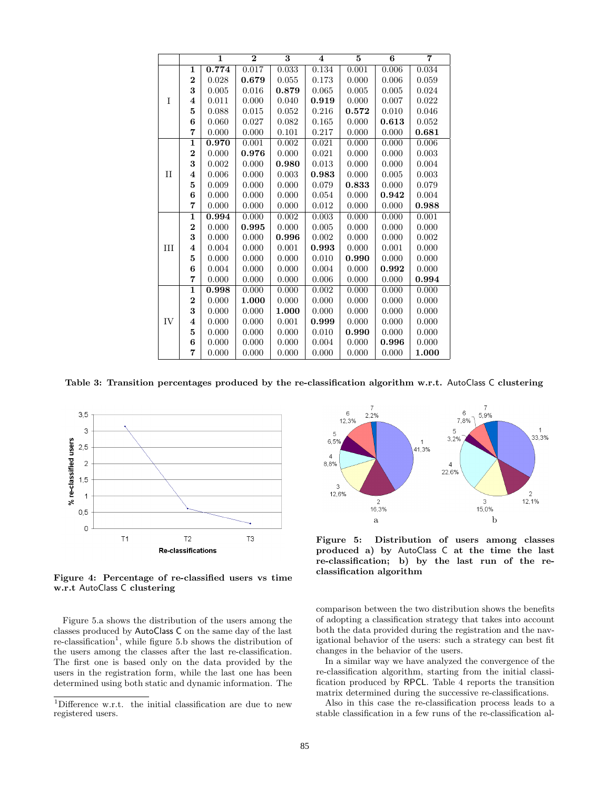|             |                         | $\mathbf{1}$ | $\overline{2}$ | 3     | $\overline{\mathbf{4}}$ | $\overline{5}$ | $\overline{6}$ | 7     |
|-------------|-------------------------|--------------|----------------|-------|-------------------------|----------------|----------------|-------|
|             | $\mathbf{1}$            | 0.774        | 0.017          | 0.033 | 0.134                   | 0.001          | 0.006          | 0.034 |
|             | $\overline{2}$          | 0.028        | 0.679          | 0.055 | 0.173                   | 0.000          | 0.006          | 0.059 |
|             | 3                       | 0.005        | 0.016          | 0.879 | 0.065                   | 0.005          | 0.005          | 0.024 |
| I           | $\overline{\mathbf{4}}$ | 0.011        | 0.000          | 0.040 | 0.919                   | 0.000          | 0.007          | 0.022 |
|             | 5                       | 0.088        | 0.015          | 0.052 | 0.216                   | 0.572          | 0.010          | 0.046 |
|             | 6                       | 0.060        | 0.027          | 0.082 | 0.165                   | 0.000          | 0.613          | 0.052 |
|             | 7                       | 0.000        | 0.000          | 0.101 | 0.217                   | 0.000          | 0.000          | 0.681 |
|             | $\mathbf{1}$            | 0.970        | 0.001          | 0.002 | 0.021                   | 0.000          | 0.000          | 0.006 |
|             | $\overline{2}$          | 0.000        | 0.976          | 0.000 | 0.021                   | 0.000          | 0.000          | 0.003 |
|             | 3                       | 0.002        | 0.000          | 0.980 | 0.013                   | 0.000          | 0.000          | 0.004 |
| $_{\rm II}$ | 4                       | 0.006        | 0.000          | 0.003 | 0.983                   | 0.000          | 0.005          | 0.003 |
|             | 5                       | 0.009        | 0.000          | 0.000 | 0.079                   | 0.833          | 0.000          | 0.079 |
|             | 6                       | 0.000        | 0.000          | 0.000 | 0.054                   | 0.000          | 0.942          | 0.004 |
|             | 7                       | 0.000        | 0.000          | 0.000 | 0.012                   | 0.000          | 0.000          | 0.988 |
|             | $\mathbf{1}$            | 0.994        | 0.000          | 0.002 | 0.003                   | 0.000          | 0.000          | 0.001 |
|             | $\overline{2}$          | 0.000        | 0.995          | 0.000 | 0.005                   | 0.000          | 0.000          | 0.000 |
|             | 3                       | 0.000        | 0.000          | 0.996 | 0.002                   | 0.000          | 0.000          | 0.002 |
| Ш           | 4                       | 0.004        | 0.000          | 0.001 | 0.993                   | 0.000          | 0.001          | 0.000 |
|             | 5                       | 0.000        | 0.000          | 0.000 | 0.010                   | 0.990          | 0.000          | 0.000 |
|             | 6                       | 0.004        | 0.000          | 0.000 | 0.004                   | 0.000          | 0.992          | 0.000 |
|             | 7                       | 0.000        | 0.000          | 0.000 | 0.006                   | 0.000          | 0.000          | 0.994 |
|             | $\mathbf{1}$            | 0.998        | 0.000          | 0.000 | 0.002                   | 0.000          | 0.000          | 0.000 |
|             | $\overline{2}$          | 0.000        | 1.000          | 0.000 | 0.000                   | 0.000          | 0.000          | 0.000 |
|             | 3                       | 0.000        | 0.000          | 1.000 | 0.000                   | 0.000          | 0.000          | 0.000 |
| IV          | 4                       | 0.000        | 0.000          | 0.001 | 0.999                   | 0.000          | 0.000          | 0.000 |
|             | 5                       | 0.000        | 0.000          | 0.000 | 0.010                   | 0.990          | 0.000          | 0.000 |
|             | 6                       | 0.000        | 0.000          | 0.000 | 0.004                   | 0.000          | 0.996          | 0.000 |
|             | 7                       | 0.000        | 0.000          | 0.000 | 0.000                   | 0.000          | 0.000          | 1.000 |

**Table 3: Transition percentages produced by the re-classification algorithm w.r.t.** AutoClass C **clustering**



**Figure 4: Percentage of re-classified users vs time w.r.t** AutoClass C **clustering**

Figure 5.a shows the distribution of the users among the classes produced by AutoClass C on the same day of the last  $re-classification<sup>1</sup>$ , while figure 5.b shows the distribution of the users among the classes after the last re-classification. The first one is based only on the data provided by the users in the registration form, while the last one has been determined using both static and dynamic information. The



**Figure 5: Distribution of users among classes produced a) by** AutoClass C **at the time the last re-classification; b) by the last run of the reclassification algorithm**

comparison between the two distribution shows the benefits of adopting a classification strategy that takes into account both the data provided during the registration and the navigational behavior of the users: such a strategy can best fit changes in the behavior of the users.

In a similar way we have analyzed the convergence of the re-classification algorithm, starting from the initial classification produced by RPCL. Table 4 reports the transition matrix determined during the successive re-classifications.

Also in this case the re-classification process leads to a stable classification in a few runs of the re-classification al-

<sup>&</sup>lt;sup>1</sup>Difference w.r.t. the initial classification are due to new registered users.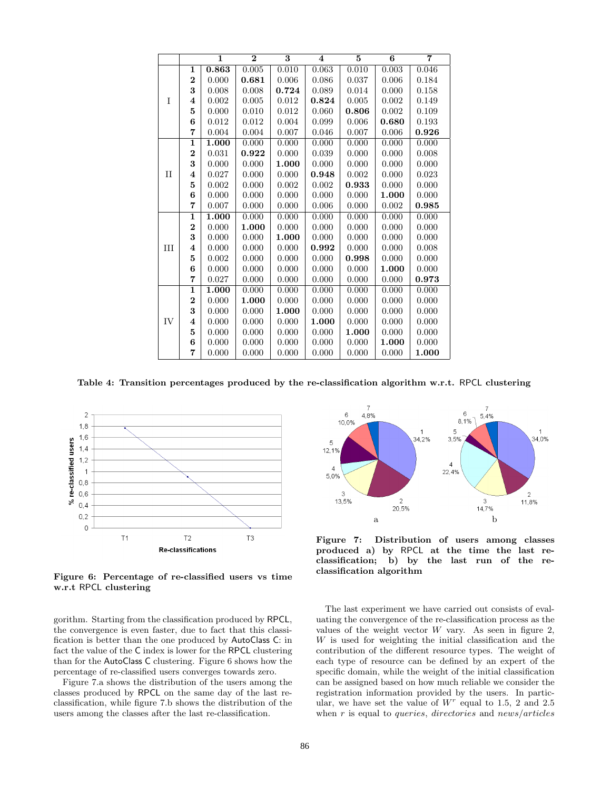|             |                         | $\overline{\mathbf{1}}$ | $\overline{2}$ | 3     | $\overline{\mathbf{4}}$ | $\overline{5}$ | $\overline{6}$ | 7     |
|-------------|-------------------------|-------------------------|----------------|-------|-------------------------|----------------|----------------|-------|
|             | 1                       | 0.863                   | 0.005          | 0.010 | 0.063                   | 0.010          | 0.003          | 0.046 |
|             | $\overline{2}$          | 0.000                   | 0.681          | 0.006 | 0.086                   | 0.037          | 0.006          | 0.184 |
|             | 3                       | 0.008                   | 0.008          | 0.724 | 0.089                   | 0.014          | 0.000          | 0.158 |
| I           | $\overline{\mathbf{4}}$ | 0.002                   | 0.005          | 0.012 | 0.824                   | 0.005          | 0.002          | 0.149 |
|             | 5                       | 0.000                   | 0.010          | 0.012 | 0.060                   | 0.806          | 0.002          | 0.109 |
|             | 6                       | 0.012                   | 0.012          | 0.004 | 0.099                   | 0.006          | 0.680          | 0.193 |
|             | 7                       | 0.004                   | 0.004          | 0.007 | 0.046                   | 0.007          | 0.006          | 0.926 |
|             | 1                       | 1.000                   | 0.000          | 0.000 | 0.000                   | 0.000          | 0.000          | 0.000 |
|             | $\overline{2}$          | 0.031                   | 0.922          | 0.000 | 0.039                   | 0.000          | 0.000          | 0.008 |
|             | 3                       | 0.000                   | 0.000          | 1.000 | 0.000                   | 0.000          | 0.000          | 0.000 |
| $_{\rm II}$ | $\overline{\mathbf{4}}$ | 0.027                   | 0.000          | 0.000 | 0.948                   | 0.002          | 0.000          | 0.023 |
|             | 5                       | 0.002                   | 0.000          | 0.002 | 0.002                   | 0.933          | 0.000          | 0.000 |
|             | 6                       | 0.000                   | 0.000          | 0.000 | 0.000                   | 0.000          | 1.000          | 0.000 |
|             | 7                       | 0.007                   | 0.000          | 0.000 | 0.006                   | 0.000          | 0.002          | 0.985 |
|             | $\mathbf{1}$            | 1.000                   | 0.000          | 0.000 | 0.000                   | 0.000          | 0.000          | 0.000 |
|             | $\overline{2}$          | 0.000                   | 1.000          | 0.000 | 0.000                   | 0.000          | 0.000          | 0.000 |
|             | 3                       | 0.000                   | 0.000          | 1.000 | 0.000                   | 0.000          | 0.000          | 0.000 |
| Ш           | $\overline{\mathbf{4}}$ | 0.000                   | 0.000          | 0.000 | 0.992                   | 0.000          | 0.000          | 0.008 |
|             | 5                       | 0.002                   | 0.000          | 0.000 | 0.000                   | 0.998          | 0.000          | 0.000 |
|             | 6                       | 0.000                   | 0.000          | 0.000 | 0.000                   | 0.000          | 1.000          | 0.000 |
|             | 7                       | 0.027                   | 0.000          | 0.000 | 0.000                   | 0.000          | 0.000          | 0.973 |
|             | $\mathbf{1}$            | 1.000                   | 0.000          | 0.000 | 0.000                   | 0.000          | 0.000          | 0.000 |
|             | $\overline{2}$          | 0.000                   | 1.000          | 0.000 | 0.000                   | 0.000          | 0.000          | 0.000 |
|             | 3                       | 0.000                   | 0.000          | 1.000 | 0.000                   | 0.000          | 0.000          | 0.000 |
| IV          | 4                       | 0.000                   | 0.000          | 0.000 | 1.000                   | 0.000          | 0.000          | 0.000 |
|             | 5                       | 0.000                   | 0.000          | 0.000 | 0.000                   | 1.000          | 0.000          | 0.000 |
|             | 6                       | 0.000                   | 0.000          | 0.000 | 0.000                   | 0.000          | 1.000          | 0.000 |
|             | 7                       | 0.000                   | 0.000          | 0.000 | 0.000                   | 0.000          | 0.000          | 1.000 |

**Table 4: Transition percentages produced by the re-classification algorithm w.r.t.** RPCL **clustering**



**Figure 6: Percentage of re-classified users vs time w.r.t** RPCL **clustering**

gorithm. Starting from the classification produced by RPCL, the convergence is even faster, due to fact that this classification is better than the one produced by AutoClass C: in fact the value of the C index is lower for the RPCL clustering than for the AutoClass C clustering. Figure 6 shows how the percentage of re-classified users converges towards zero.

Figure 7.a shows the distribution of the users among the classes produced by RPCL on the same day of the last reclassification, while figure 7.b shows the distribution of the users among the classes after the last re-classification.



**Figure 7: Distribution of users among classes produced a) by** RPCL **at the time the last reclassification; b) by the last run of the reclassification algorithm**

The last experiment we have carried out consists of evaluating the convergence of the re-classification process as the values of the weight vector  $W$  vary. As seen in figure 2, *W* is used for weighting the initial classification and the contribution of the different resource types. The weight of each type of resource can be defined by an expert of the specific domain, while the weight of the initial classification can be assigned based on how much reliable we consider the registration information provided by the users. In particular, we have set the value of *W<sup>r</sup>* equal to 1*.*5, 2 and 2*.*5 when *r* is equal to *queries*, *directories* and *news*/*articles*